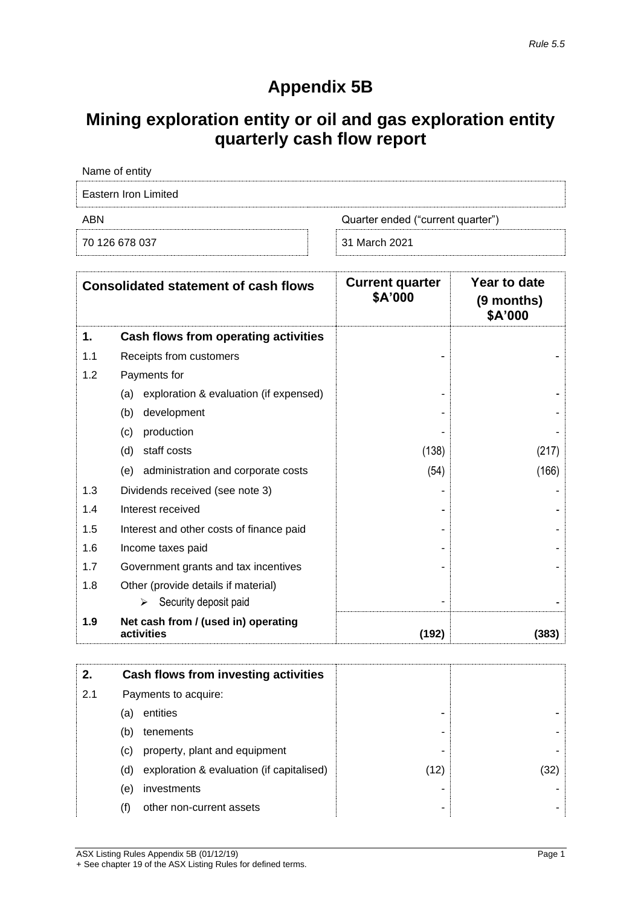## **Appendix 5B**

# **Mining exploration entity or oil and gas exploration entity quarterly cash flow report**

| Name of entity       |                                   |
|----------------------|-----------------------------------|
| Eastern Iron Limited |                                   |
| ABN                  | Quarter ended ("current quarter") |
| 70 126 678 037       | 31 March 2021                     |

|     | <b>Consolidated statement of cash flows</b>       | <b>Current quarter</b><br>\$A'000 | Year to date<br>(9 months)<br>\$A'000 |
|-----|---------------------------------------------------|-----------------------------------|---------------------------------------|
| 1.  | Cash flows from operating activities              |                                   |                                       |
| 1.1 | Receipts from customers                           |                                   |                                       |
| 1.2 | Payments for                                      |                                   |                                       |
|     | exploration & evaluation (if expensed)<br>(a)     |                                   |                                       |
|     | (b)<br>development                                |                                   |                                       |
|     | (c)<br>production                                 |                                   |                                       |
|     | (d)<br>staff costs                                | (138)                             | (217)                                 |
|     | administration and corporate costs<br>(e)         | (54)                              | (166)                                 |
| 1.3 | Dividends received (see note 3)                   |                                   |                                       |
| 1.4 | Interest received                                 |                                   |                                       |
| 1.5 | Interest and other costs of finance paid          |                                   |                                       |
| 1.6 | Income taxes paid                                 |                                   |                                       |
| 1.7 | Government grants and tax incentives              |                                   |                                       |
| 1.8 | Other (provide details if material)               |                                   |                                       |
|     | Security deposit paid<br>⋗                        |                                   |                                       |
| 1.9 | Net cash from / (used in) operating<br>activities | (192)                             | (383                                  |

| 2.  |     | Cash flows from investing activities      |      |      |
|-----|-----|-------------------------------------------|------|------|
| 2.1 |     | Payments to acquire:                      |      |      |
|     | (a) | entities                                  | -    |      |
|     | (b) | tenements                                 | ۰    |      |
|     | (C) | property, plant and equipment             | ۰    |      |
|     | (d) | exploration & evaluation (if capitalised) | (12) | (32) |
|     | (e) | investments                               | -    |      |
|     | (†) | other non-current assets                  | ۰    |      |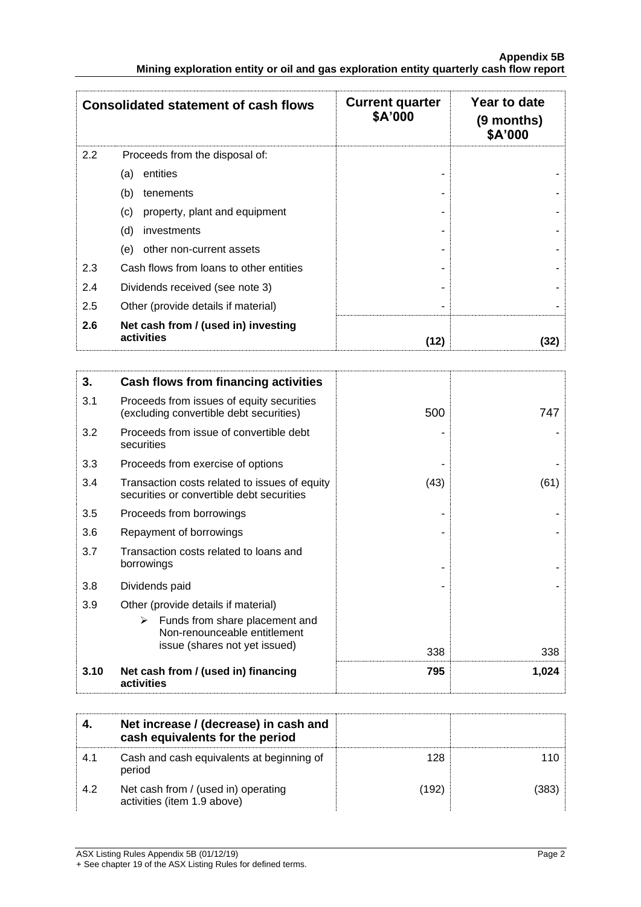|                                                                                        |  | <b>Appendix 5B</b> |
|----------------------------------------------------------------------------------------|--|--------------------|
| Mining exploration entity or oil and gas exploration entity quarterly cash flow report |  |                    |

|     | <b>Consolidated statement of cash flows</b>       | <b>Current quarter</b><br>\$A'000 | Year to date<br>(9 months)<br>\$A'000 |
|-----|---------------------------------------------------|-----------------------------------|---------------------------------------|
| 2.2 | Proceeds from the disposal of:                    |                                   |                                       |
|     | entities<br>(a)                                   |                                   |                                       |
|     | (b)<br>tenements                                  |                                   |                                       |
|     | property, plant and equipment<br>(c)              |                                   |                                       |
|     | (d)<br>investments                                |                                   |                                       |
|     | other non-current assets<br>(e)                   |                                   |                                       |
| 2.3 | Cash flows from loans to other entities           |                                   |                                       |
| 2.4 | Dividends received (see note 3)                   |                                   |                                       |
| 2.5 | Other (provide details if material)               |                                   |                                       |
| 2.6 | Net cash from / (used in) investing<br>activities | (12)                              | (32)                                  |

| 3.   | Cash flows from financing activities                                                                       |      |       |
|------|------------------------------------------------------------------------------------------------------------|------|-------|
| 3.1  | Proceeds from issues of equity securities<br>(excluding convertible debt securities)                       | 500  | 747   |
| 3.2  | Proceeds from issue of convertible debt<br>securities                                                      |      |       |
| 3.3  | Proceeds from exercise of options                                                                          |      |       |
| 3.4  | Transaction costs related to issues of equity<br>securities or convertible debt securities                 | (43) | (61)  |
| 3.5  | Proceeds from borrowings                                                                                   |      |       |
| 3.6  | Repayment of borrowings                                                                                    |      |       |
| 3.7  | Transaction costs related to loans and<br>borrowings                                                       |      |       |
| 3.8  | Dividends paid                                                                                             |      |       |
| 3.9  | Other (provide details if material)<br>Funds from share placement and<br>➤<br>Non-renounceable entitlement |      |       |
|      | issue (shares not yet issued)                                                                              | 338  | 338   |
| 3.10 | Net cash from / (used in) financing<br>activities                                                          | 795  | 1,024 |

|      | Net increase / (decrease) in cash and<br>cash equivalents for the period |       |  |
|------|--------------------------------------------------------------------------|-------|--|
| -4.1 | Cash and cash equivalents at beginning of<br>period                      | 128   |  |
| 42   | Net cash from / (used in) operating<br>activities (item 1.9 above)       | (192) |  |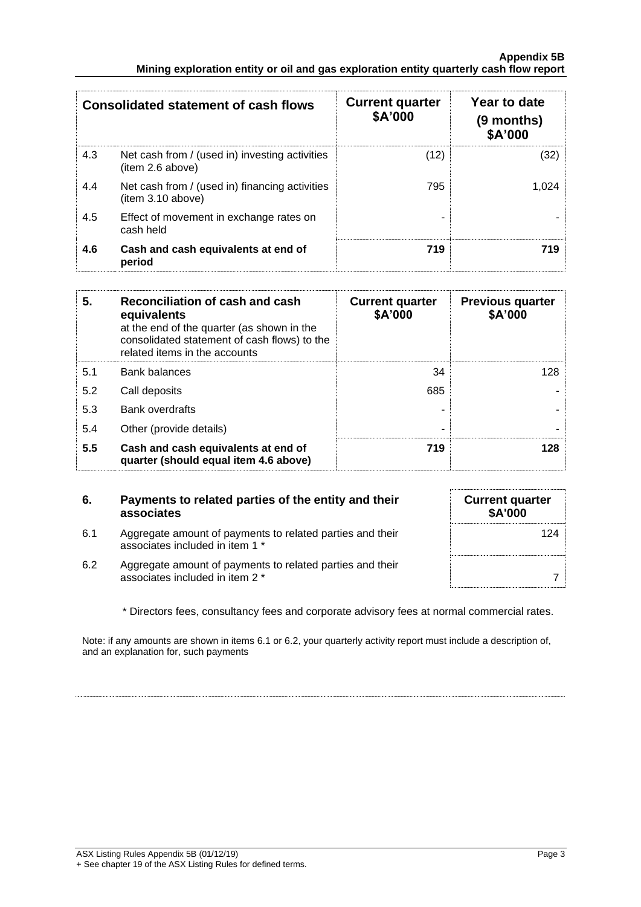#### **Appendix 5B Mining exploration entity or oil and gas exploration entity quarterly cash flow report**

| <b>Consolidated statement of cash flows</b> |                                                                     | <b>Current quarter</b><br>\$A'000 | Year to date<br>$(9$ months)<br>\$A'000 |
|---------------------------------------------|---------------------------------------------------------------------|-----------------------------------|-----------------------------------------|
| 4.3                                         | Net cash from / (used in) investing activities<br>(item 2.6 above)  | (12)                              | (32)                                    |
| 4.4                                         | Net cash from / (used in) financing activities<br>(item 3.10 above) | 795                               | 1.024                                   |
| 4.5                                         | Effect of movement in exchange rates on<br>cash held                |                                   |                                         |
| 4.6                                         | Cash and cash equivalents at end of<br>period                       | 719                               | 719                                     |

| 5.  | Reconciliation of cash and cash<br>equivalents<br>at the end of the quarter (as shown in the<br>consolidated statement of cash flows) to the<br>related items in the accounts | <b>Current quarter</b><br>\$A'000 | <b>Previous quarter</b><br>\$A'000 |
|-----|-------------------------------------------------------------------------------------------------------------------------------------------------------------------------------|-----------------------------------|------------------------------------|
| 5.1 | <b>Bank balances</b>                                                                                                                                                          | 34                                | 128                                |
| 5.2 | Call deposits                                                                                                                                                                 | 685                               |                                    |
| 5.3 | <b>Bank overdrafts</b>                                                                                                                                                        |                                   |                                    |
| 5.4 | Other (provide details)                                                                                                                                                       |                                   |                                    |
| 5.5 | Cash and cash equivalents at end of<br>quarter (should equal item 4.6 above)                                                                                                  | 719                               | 128                                |

### **6. Payments to related parties of the entity and their associates**

- 6.1 Aggregate amount of payments to related parties and their associates included in item 1 \*
- 6.2 Aggregate amount of payments to related parties and their associates included in item 2 \* 7

| <b>Current quarter</b><br>\$A'000 |  |
|-----------------------------------|--|
| 124                               |  |
|                                   |  |

\* Directors fees, consultancy fees and corporate advisory fees at normal commercial rates.

Note: if any amounts are shown in items 6.1 or 6.2, your quarterly activity report must include a description of, and an explanation for, such payments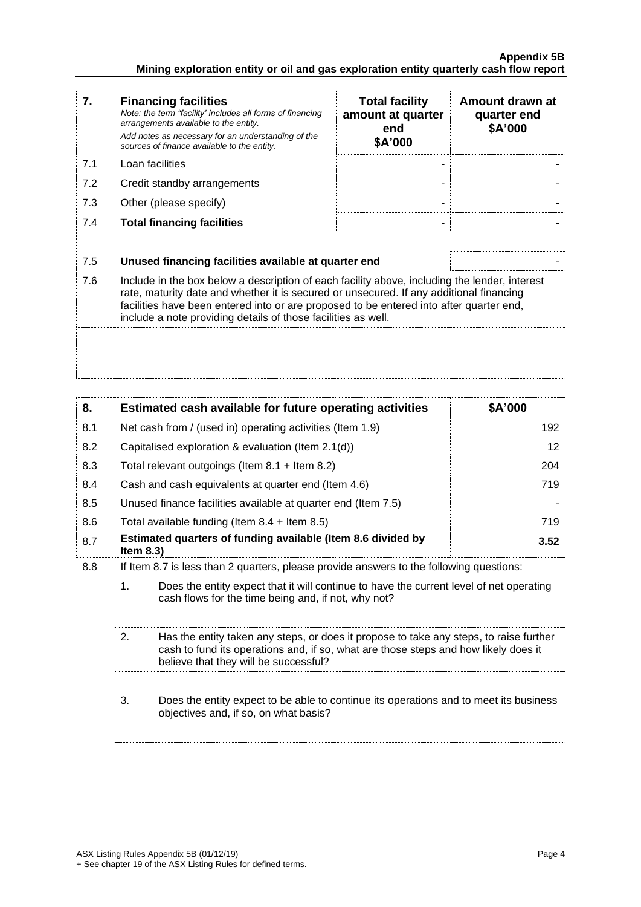#### **Appendix 5B Mining exploration entity or oil and gas exploration entity quarterly cash flow report**

| 7.  | <b>Financing facilities</b><br>Note: the term "facility' includes all forms of financing<br>arrangements available to the entity.<br>Add notes as necessary for an understanding of the<br>sources of finance available to the entity. | <b>Total facility</b><br>amount at quarter<br>end<br>\$A'000 | Amount drawn at<br>quarter end<br>\$A'000 |
|-----|----------------------------------------------------------------------------------------------------------------------------------------------------------------------------------------------------------------------------------------|--------------------------------------------------------------|-------------------------------------------|
| 7.1 | Loan facilities                                                                                                                                                                                                                        | -                                                            |                                           |
| 7.2 | Credit standby arrangements                                                                                                                                                                                                            |                                                              |                                           |
| 7.3 | Other (please specify)                                                                                                                                                                                                                 |                                                              |                                           |
| 7.4 | <b>Total financing facilities</b>                                                                                                                                                                                                      |                                                              |                                           |
|     |                                                                                                                                                                                                                                        |                                                              |                                           |
|     | l lauged finanging faoilities available at augustar and                                                                                                                                                                                |                                                              |                                           |

7.5 **Unused financing facilities available at quarter end** - 7.6 Include in the box below a description of each facility above, including the lender, interest rate, maturity date and whether it is secured or unsecured. If any additional financing facilities have been entered into or are proposed to be entered into after quarter end, include a note providing details of those facilities as well.

| 8.  |                                                            | Estimated cash available for future operating activities                                                                                                                                                               | \$A'000 |
|-----|------------------------------------------------------------|------------------------------------------------------------------------------------------------------------------------------------------------------------------------------------------------------------------------|---------|
| 8.1 |                                                            | Net cash from / (used in) operating activities (Item 1.9)                                                                                                                                                              | 192     |
| 8.2 |                                                            | Capitalised exploration & evaluation (Item 2.1(d))                                                                                                                                                                     | 12      |
| 8.3 | Total relevant outgoings (Item $8.1 +$ Item $8.2$ )<br>204 |                                                                                                                                                                                                                        |         |
| 8.4 | Cash and cash equivalents at quarter end (Item 4.6)        |                                                                                                                                                                                                                        | 719     |
| 8.5 |                                                            | Unused finance facilities available at quarter end (Item 7.5)                                                                                                                                                          |         |
| 8.6 |                                                            | Total available funding (Item $8.4$ + Item $8.5$ )                                                                                                                                                                     | 719     |
| 8.7 | Item $8.3$ )                                               | Estimated quarters of funding available (Item 8.6 divided by                                                                                                                                                           | 3.52    |
| 8.8 |                                                            | If Item 8.7 is less than 2 quarters, please provide answers to the following questions:                                                                                                                                |         |
|     | $\mathbf{1}$ .                                             | Does the entity expect that it will continue to have the current level of net operating<br>cash flows for the time being and, if not, why not?                                                                         |         |
|     | 2.                                                         | Has the entity taken any steps, or does it propose to take any steps, to raise further<br>cash to fund its operations and, if so, what are those steps and how likely does it<br>believe that they will be successful? |         |
|     | 3.                                                         | Does the entity expect to be able to continue its operations and to meet its business                                                                                                                                  |         |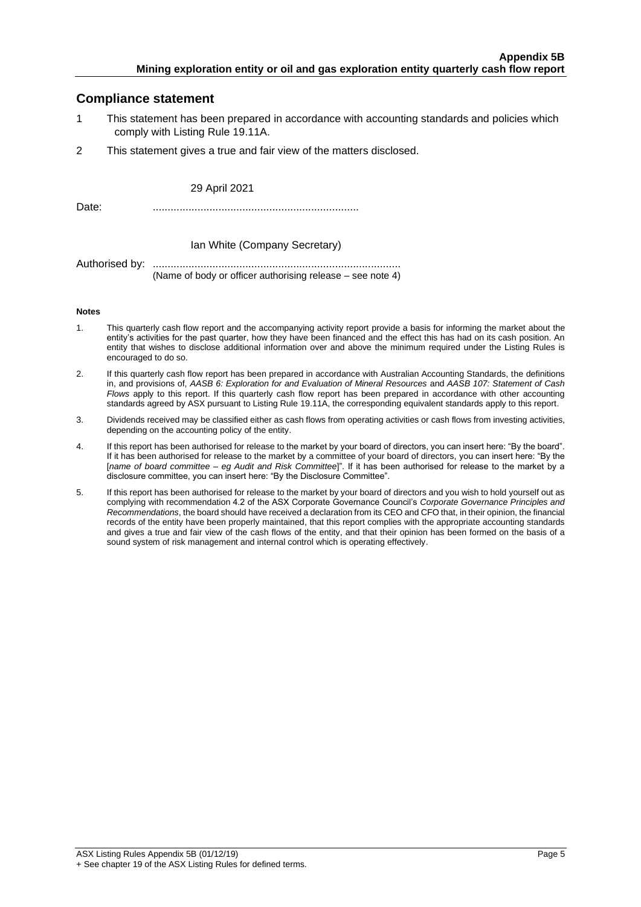### **Compliance statement**

- 1 This statement has been prepared in accordance with accounting standards and policies which comply with Listing Rule 19.11A.
- 2 This statement gives a true and fair view of the matters disclosed.

29 April 2021

Date: .....................................................................

#### Ian White (Company Secretary)

Authorised by: ................................................................................... (Name of body or officer authorising release – see note 4)

#### **Notes**

- 1. This quarterly cash flow report and the accompanying activity report provide a basis for informing the market about the entity's activities for the past quarter, how they have been financed and the effect this has had on its cash position. An entity that wishes to disclose additional information over and above the minimum required under the Listing Rules is encouraged to do so.
- 2. If this quarterly cash flow report has been prepared in accordance with Australian Accounting Standards, the definitions in, and provisions of, *AASB 6: Exploration for and Evaluation of Mineral Resources* and *AASB 107: Statement of Cash Flows* apply to this report. If this quarterly cash flow report has been prepared in accordance with other accounting standards agreed by ASX pursuant to Listing Rule 19.11A, the corresponding equivalent standards apply to this report.
- 3. Dividends received may be classified either as cash flows from operating activities or cash flows from investing activities, depending on the accounting policy of the entity.
- 4. If this report has been authorised for release to the market by your board of directors, you can insert here: "By the board". If it has been authorised for release to the market by a committee of your board of directors, you can insert here: "By the [*name of board committee* – *eg Audit and Risk Committee*]". If it has been authorised for release to the market by a disclosure committee, you can insert here: "By the Disclosure Committee".
- 5. If this report has been authorised for release to the market by your board of directors and you wish to hold yourself out as complying with recommendation 4.2 of the ASX Corporate Governance Council's *Corporate Governance Principles and Recommendations*, the board should have received a declaration from its CEO and CFO that, in their opinion, the financial records of the entity have been properly maintained, that this report complies with the appropriate accounting standards and gives a true and fair view of the cash flows of the entity, and that their opinion has been formed on the basis of a sound system of risk management and internal control which is operating effectively.